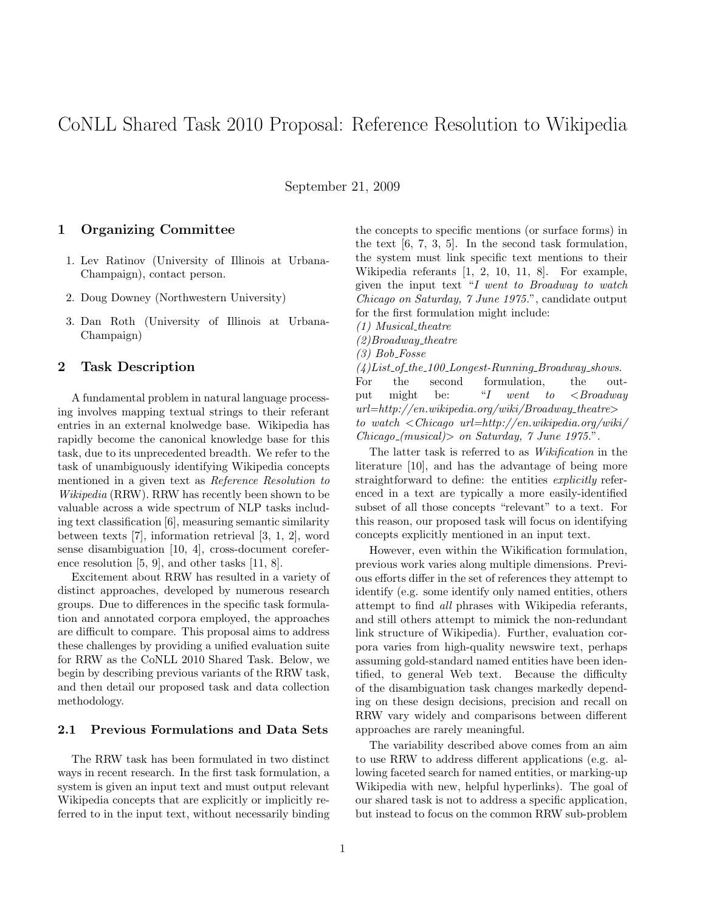# CoNLL Shared Task 2010 Proposal: Reference Resolution to Wikipedia

September 21, 2009

## 1 Organizing Committee

- 1. Lev Ratinov (University of Illinois at Urbana-Champaign), contact person.
- 2. Doug Downey (Northwestern University)
- 3. Dan Roth (University of Illinois at Urbana-Champaign)

# 2 Task Description

A fundamental problem in natural language processing involves mapping textual strings to their referant entries in an external knolwedge base. Wikipedia has rapidly become the canonical knowledge base for this task, due to its unprecedented breadth. We refer to the task of unambiguously identifying Wikipedia concepts mentioned in a given text as Reference Resolution to Wikipedia (RRW). RRW has recently been shown to be valuable across a wide spectrum of NLP tasks including text classification [6], measuring semantic similarity between texts [7], information retrieval [3, 1, 2], word sense disambiguation [10, 4], cross-document coreference resolution [5, 9], and other tasks [11, 8].

Excitement about RRW has resulted in a variety of distinct approaches, developed by numerous research groups. Due to differences in the specific task formulation and annotated corpora employed, the approaches are difficult to compare. This proposal aims to address these challenges by providing a unified evaluation suite for RRW as the CoNLL 2010 Shared Task. Below, we begin by describing previous variants of the RRW task, and then detail our proposed task and data collection methodology.

#### 2.1 Previous Formulations and Data Sets

The RRW task has been formulated in two distinct ways in recent research. In the first task formulation, a system is given an input text and must output relevant Wikipedia concepts that are explicitly or implicitly referred to in the input text, without necessarily binding the concepts to specific mentions (or surface forms) in the text [6, 7, 3, 5]. In the second task formulation, the system must link specific text mentions to their Wikipedia referants [1, 2, 10, 11, 8]. For example, given the input text "I went to Broadway to watch Chicago on Saturday, 7 June 1975.", candidate output for the first formulation might include:

 $(1)$  Musical\_theatre

 $(2)$ Broadway\_theatre

 $(3) Bob-Fosse$ 

 $(4) List\_of\_the\_100\_Longest-Ranning\_Broadway\_shows.$ For the second formulation, the output might be: "I went to  $\leq Broadway$  $url=http://en.wikipedia.org/wiki/Broadway\_theatre>$ to watch <Chicago url=http://en.wikipedia.org/wiki/  $Chicago_{\text{maxical}}\rangle$  on Saturday, 7 June 1975.".

The latter task is referred to as *Wikification* in the literature [10], and has the advantage of being more straightforward to define: the entities *explicitly* referenced in a text are typically a more easily-identified subset of all those concepts "relevant" to a text. For this reason, our proposed task will focus on identifying concepts explicitly mentioned in an input text.

However, even within the Wikification formulation, previous work varies along multiple dimensions. Previous efforts differ in the set of references they attempt to identify (e.g. some identify only named entities, others attempt to find all phrases with Wikipedia referants, and still others attempt to mimick the non-redundant link structure of Wikipedia). Further, evaluation corpora varies from high-quality newswire text, perhaps assuming gold-standard named entities have been identified, to general Web text. Because the difficulty of the disambiguation task changes markedly depending on these design decisions, precision and recall on RRW vary widely and comparisons between different approaches are rarely meaningful.

The variability described above comes from an aim to use RRW to address different applications (e.g. allowing faceted search for named entities, or marking-up Wikipedia with new, helpful hyperlinks). The goal of our shared task is not to address a specific application, but instead to focus on the common RRW sub-problem